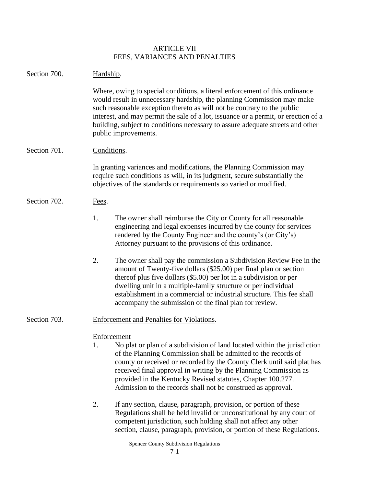## ARTICLE VII FEES, VARIANCES AND PENALTIES

| Section 700. | Hardship.                                                                                                                                                                                                                                                                                                                                                                                                                                    |
|--------------|----------------------------------------------------------------------------------------------------------------------------------------------------------------------------------------------------------------------------------------------------------------------------------------------------------------------------------------------------------------------------------------------------------------------------------------------|
|              | Where, owing to special conditions, a literal enforcement of this ordinance<br>would result in unnecessary hardship, the planning Commission may make<br>such reasonable exception thereto as will not be contrary to the public<br>interest, and may permit the sale of a lot, issuance or a permit, or erection of a<br>building, subject to conditions necessary to assure adequate streets and other<br>public improvements.             |
| Section 701. | Conditions.                                                                                                                                                                                                                                                                                                                                                                                                                                  |
|              | In granting variances and modifications, the Planning Commission may<br>require such conditions as will, in its judgment, secure substantially the<br>objectives of the standards or requirements so varied or modified.                                                                                                                                                                                                                     |
| Section 702. | Fees.                                                                                                                                                                                                                                                                                                                                                                                                                                        |
|              | 1.<br>The owner shall reimburse the City or County for all reasonable<br>engineering and legal expenses incurred by the county for services<br>rendered by the County Engineer and the county's (or City's)<br>Attorney pursuant to the provisions of this ordinance.                                                                                                                                                                        |
|              | 2.<br>The owner shall pay the commission a Subdivision Review Fee in the<br>amount of Twenty-five dollars (\$25.00) per final plan or section<br>thereof plus five dollars (\$5.00) per lot in a subdivision or per<br>dwelling unit in a multiple-family structure or per individual<br>establishment in a commercial or industrial structure. This fee shall<br>accompany the submission of the final plan for review.                     |
| Section 703. | <b>Enforcement and Penalties for Violations.</b>                                                                                                                                                                                                                                                                                                                                                                                             |
|              | Enforcement<br>No plat or plan of a subdivision of land located within the jurisdiction<br>1.<br>of the Planning Commission shall be admitted to the records of<br>county or received or recorded by the County Clerk until said plat has<br>received final approval in writing by the Planning Commission as<br>provided in the Kentucky Revised statutes, Chapter 100.277.<br>Admission to the records shall not be construed as approval. |
|              | 2.<br>If any section, clause, paragraph, provision, or portion of these<br>Regulations shall be held invalid or unconstitutional by any court of<br>competent jurisdiction, such holding shall not affect any other<br>section, clause, paragraph, provision, or portion of these Regulations.                                                                                                                                               |